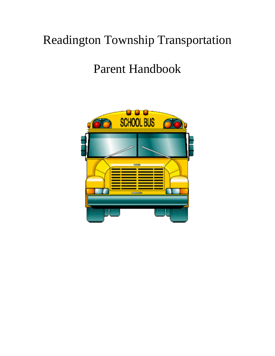# Readington Township Transportation

## Parent Handbook

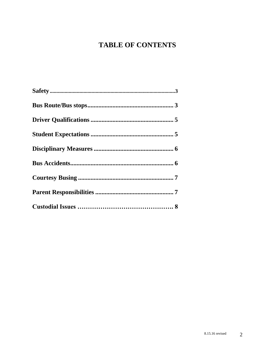## **TABLE OF CONTENTS**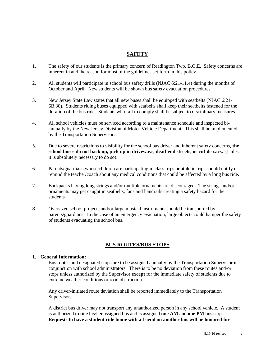## **SAFETY**

- 1. The safety of our students is the primary concern of Readington Twp. B.O.E. Safety concerns are inherent in and the reason for most of the guidelines set forth in this policy.
- 2. All students will participate in school bus safety drills (NJAC 6:21-11.4) during the months of October and April. New students will be shown bus safety evacuation procedures.
- 3. New Jersey State Law states that all new buses shall be equipped with seatbelts (NJAC 6:21- 6B.30). Students riding buses equipped with seatbelts shall keep their seatbelts fastened for the duration of the bus ride. Students who fail to comply shall be subject to disciplinary measures.
- 4. All school vehicles must be serviced according to a maintenance schedule and inspected biannually by the New Jersey Division of Motor Vehicle Department. This shall be implemented by the Transportation Supervisor.
- 5. Due to severe restrictions to visibility for the school bus driver and inherent safety concerns, **the school buses do not back up, pick up in driveways, dead-end streets, or cul-de-sacs.** (Unless it is absolutely necessary to do so).
- 6. Parents/guardians whose children are participating in class trips or athletic trips should notify or remind the teacher/coach about any medical conditions that could be affected by a long bus ride.
- 7. Backpacks having long strings and/or multiple ornaments are discouraged. The strings and/or ornaments may get caught in seatbelts, fans and handrails creating a safety hazard for the students.
- 8. Oversized school projects and/or large musical instruments should be transported by parents/guardians. In the case of an emergency evacuation, large objects could hamper the safety of students evacuating the school bus.

### **BUS ROUTES/BUS STOPS**

#### **1. General Information:**

Bus routes and designated stops are to be assigned annually by the Transportation Supervisor in conjunction with school administrators. There is to be no deviation from these routes and/or stops unless authorized by the Supervisor **except** for the immediate safety of students due to extreme weather conditions or road obstruction.

Any driver-initiated route deviation shall be reported immediately to the Transportation Supervisor.

A district bus driver may not transport any unauthorized person in any school vehicle. A student is authorized to ride his/her assigned bus and is assigned **one AM** and **one PM** bus stop. **Requests to have a student ride home with a friend on another bus will be honored for**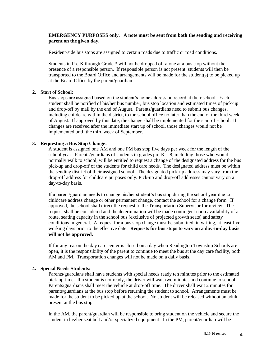#### **EMERGENCY PURPOSES only. A note must be sent from both the sending and receiving parent on the given day.**

Resident-side bus stops are assigned to certain roads due to traffic or road conditions.

Students in Pre-K through Grade 3 will not be dropped off alone at a bus stop without the presence of a responsible person. If responsible person is not present, students will then be transported to the Board Office and arrangements will be made for the student(s) to be picked up at the Board Office by the parent/guardian.

#### **2. Start of School:**

Bus stops are assigned based on the student's home address on record at their school. Each student shall be notified of his/her bus number, bus stop location and estimated times of pick-up and drop-off by mail by the end of August. Parents/guardians need to submit bus changes, including childcare within the district, to the school office no later than the end of the third week of August. If approved by this date, the change shall be implemented for the start of school. If changes are received after the immediate start up of school, those changes would not be implemented until the third week of September.

#### **3. Requesting a Bus Stop Change:**

A student is assigned one AM and one PM bus stop five days per week for the length of the school year. Parents/guardians of students in grades pre- $K - 8$ , including those who would normally walk to school, will be entitled to request a change of the designated address for the bus pick-up and drop-off of the students for child care needs. The designated address must be within the sending district of their assigned school. The designated pick-up address may vary from the drop-off address for childcare purposes only. Pick-up and drop-off addresses cannot vary on a day-to-day basis.

If a parent/guardian needs to change his/her student's bus stop during the school year due to childcare address change or other permanent change, contact the school for a change form. If approved, the school shall direct the request to the Transportation Supervisor for review. The request shall be considered and the determination will be made contingent upon availability of a route, seating capacity in the school bus (exclusive of projected growth seats) and safety conditions in general. A request for a bus stop change must be submitted, in writing, at least five working days prior to the effective date. **Requests for bus stops to vary on a day-to-day basis will not be approved.**

If for any reason the day care center is closed on a day when Readington Township Schools are open, it is the responsibility of the parent to continue to meet the bus at the day care facility, both AM and PM. Transportation changes will not be made on a daily basis.

#### **4. Special Needs Students:**

Parents/guardians shall have students with special needs ready ten minutes prior to the estimated pick-up time. If a student is not ready, the driver will wait two minutes and continue to school. Parents/guardians shall meet the vehicle at drop-off time. The driver shall wait 2 minutes for parents/guardians at the bus stop before returning the student to school. Arrangements must be made for the student to be picked up at the school. No student will be released without an adult present at the bus stop.

In the AM, the parent/guardian will be responsible to bring student on the vehicle and secure the student in his/her seat belt and/or specialized equipment. In the PM, parent/guardian will be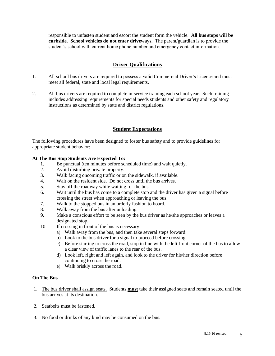responsible to unfasten student and escort the student form the vehicle. **All bus stops will be curbside. School vehicles do not enter driveways.** The parent/guardian is to provide the student's school with current home phone number and emergency contact information.

## **Driver Qualifications**

- 1. All school bus drivers are required to possess a valid Commercial Driver's License and must meet all federal, state and local legal requirements.
- 2. All bus drivers are required to complete in-service training each school year. Such training includes addressing requirements for special needs students and other safety and regulatory instructions as determined by state and district regulations.

## **Student Expectations**

The following procedures have been designed to foster bus safety and to provide guidelines for appropriate student behavior:

#### **At The Bus Stop Students Are Expected To:**

- 1. Be punctual (ten minutes before scheduled time) and wait quietly.
- 2. Avoid disturbing private property.
- 3. Walk facing oncoming traffic or on the sidewalk, if available.
- 4. Wait on the resident side. Do not cross until the bus arrives.
- 5. Stay off the roadway while waiting for the bus.
- 6. Wait until the bus has come to a complete stop and the driver has given a signal before crossing the street when approaching or leaving the bus.
- 7. Walk to the stopped bus in an orderly fashion to board.
- 8. Walk away from the bus after unloading.
- 9. Make a conscious effort to be seen by the bus driver as he/she approaches or leaves a designated stop.
- 10. If crossing in front of the bus is necessary:
	- a) Walk away from the bus, and then take several steps forward.
	- b) Look to the bus driver for a signal to proceed before crossing.
	- c) Before starting to cross the road, stop in line with the left front corner of the bus to allow a clear view of traffic lanes to the rear of the bus.
	- d) Look left, right and left again, and look to the driver for his/her direction before continuing to cross the road.
	- e) Walk briskly across the road.

#### **On The Bus**

- 1. The bus driver shall assign seats. Students **must** take their assigned seats and remain seated until the bus arrives at its destination.
- 2. Seatbelts must be fastened.
- 3. No food or drinks of any kind may be consumed on the bus.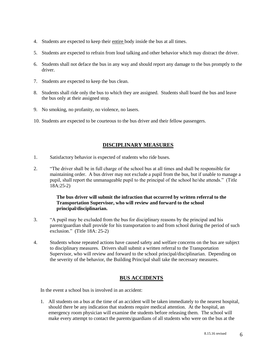- 4. Students are expected to keep their entire body inside the bus at all times.
- 5. Students are expected to refrain from loud talking and other behavior which may distract the driver.
- 6. Students shall not deface the bus in any way and should report any damage to the bus promptly to the driver.
- 7. Students are expected to keep the bus clean.
- 8. Students shall ride only the bus to which they are assigned. Students shall board the bus and leave the bus only at their assigned stop.
- 9. No smoking, no profanity, no violence, no lasers.
- 10. Students are expected to be courteous to the bus driver and their fellow passengers.

## **DISCIPLINARY MEASURES**

- 1. Satisfactory behavior is expected of students who ride buses.
- 2. "The driver shall be in full charge of the school bus at all times and shall be responsible for maintaining order. A bus driver may not exclude a pupil from the bus, but if unable to manage a pupil, shall report the unmanageable pupil to the principal of the school he/she attends." (Title 18A:25-2)

#### **The bus driver will submit the infraction that occurred by written referral to the Transportation Supervisor, who will review and forward to the school principal/disciplinarian.**

- 3. "A pupil may be excluded from the bus for disciplinary reasons by the principal and his parent/guardian shall provide for his transportation to and from school during the period of such exclusion." (Title 18A: 25-2)
- 4. Students whose repeated actions have caused safety and welfare concerns on the bus are subject to disciplinary measures. Drivers shall submit a written referral to the Transportation Supervisor, who will review and forward to the school principal/disciplinarian. Depending on the severity of the behavior, the Building Principal shall take the necessary measures.

## **BUS ACCIDENTS**

In the event a school bus is involved in an accident:

1. All students on a bus at the time of an accident will be taken immediately to the nearest hospital, should there be any indication that students require medical attention. At the hospital, an emergency room physician will examine the students before releasing them. The school will make every attempt to contact the parents/guardians of all students who were on the bus at the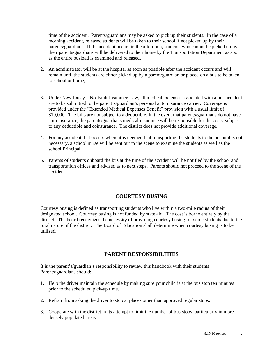time of the accident. Parents/guardians may be asked to pick up their students. In the case of a morning accident, released students will be taken to their school if not picked up by their parents/guardians. If the accident occurs in the afternoon, students who cannot be picked up by their parents/guardians will be delivered to their home by the Transportation Department as soon as the entire busload is examined and released.

- 2. An administrator will be at the hospital as soon as possible after the accident occurs and will remain until the students are either picked up by a parent/guardian or placed on a bus to be taken to school or home,
- 3. Under New Jersey's No-Fault Insurance Law, all medical expenses associated with a bus accident are to be submitted to the parent's/guardian's personal auto insurance carrier. Coverage is provided under the "Extended Medical Expenses Benefit" provision with a usual limit of \$10,000. The bills are not subject to a deductible. In the event that parents/guardians do not have auto insurance, the parents/guardians medical insurance will be responsible for the costs, subject to any deductible and coinsurance. The district does not provide additional coverage.
- 4. For any accident that occurs where it is deemed that transporting the students to the hospital is not necessary, a school nurse will be sent out to the scene to examine the students as well as the school Principal.
- 5. Parents of students onboard the bus at the time of the accident will be notified by the school and transportation offices and advised as to next steps. Parents should not proceed to the scene of the accident.

## **COURTESY BUSING**

Courtesy busing is defined as transporting students who live within a two-mile radius of their designated school. Courtesy busing is not funded by state aid. The cost is borne entirely by the district. The board recognizes the necessity of providing courtesy busing for some students due to the rural nature of the district. The Board of Education shall determine when courtesy busing is to be utilized.

## **PARENT RESPONSIBILITIES**

It is the parent's/guardian's responsibility to review this handbook with their students. Parents/guardians should:

- 1. Help the driver maintain the schedule by making sure your child is at the bus stop ten minutes prior to the scheduled pick-up time.
- 2. Refrain from asking the driver to stop at places other than approved regular stops.
- 3. Cooperate with the district in its attempt to limit the number of bus stops, particularly in more densely populated areas.